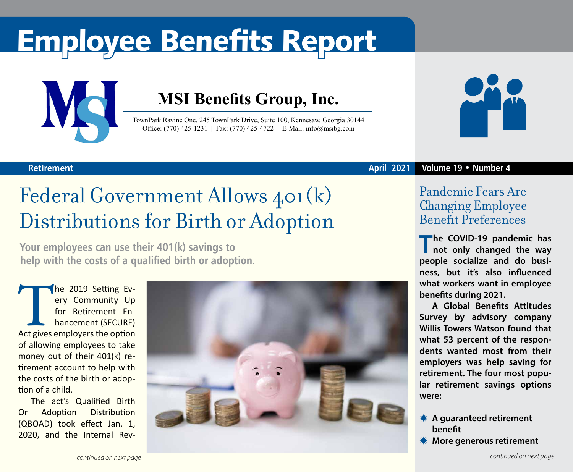# Employee Benefits Report



### **MSI Benefits Group, Inc.**

TownPark Ravine One, 245 TownPark Drive, Suite 100, Kennesaw, Georgia 30144 Office: (770) 425-1231 | Fax: (770) 425-4722 | E-Mail: info@msibg.com



#### **Retirement**

### Federal Government Allows 401(k) Distributions for Birth or Adoption

**Your employees can use their 401(k) savings to help with the costs of a qualified birth or adoption.**

The 2019 Setting Every Community Up<br>
for Retirement En-<br>
hancement (SECURE)<br>
Act gives employers the option ery Community Up for Retirement Enhancement (SECURE) of allowing employees to take money out of their 401(k) retirement account to help with the costs of the birth or adoption of a child.

The act's Qualified Birth Or Adoption Distribution (QBOAD) took effect Jan. 1, 2020, and the Internal Rev-



#### **April 2021 Volume 19 • Number 4**

### Pandemic Fears Are Changing Employee Benefit Preferences

**The COVID-19 pandemic has not only changed the way people socialize and do business, but it's also influenced what workers want in employee benefits during 2021.**

**A Global Benefits Attitudes Survey by advisory company Willis Towers Watson found that what 53 percent of the respondents wanted most from their employers was help saving for retirement. The four most popular retirement savings options were:**

- $*$  **A quaranteed retirement benefit**
- *<b>We More generous retirement*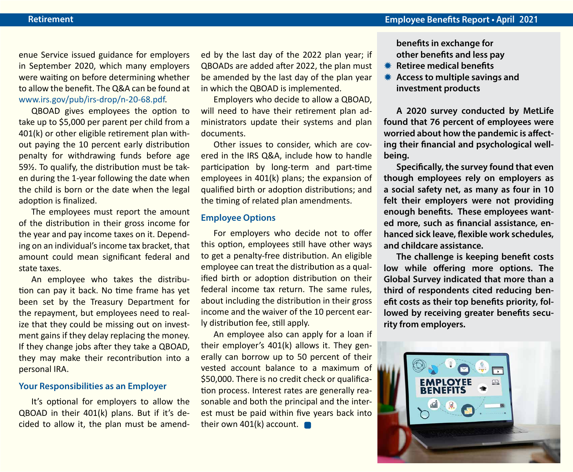enue Service issued guidance for employers in September 2020, which many employers were waiting on before determining whether to allow the benefit. The Q&A can be found at [www.irs.gov/pub/irs-drop/n-20-68.pdf](http://www.irs.gov/pub/irs-drop/n-20-68.pdf).

QBOAD gives employees the option to take up to \$5,000 per parent per child from a 401(k) or other eligible retirement plan without paying the 10 percent early distribution penalty for withdrawing funds before age 59½. To qualify, the distribution must be taken during the 1-year following the date when the child is born or the date when the legal adoption is finalized.

The employees must report the amount of the distribution in their gross income for the year and pay income taxes on it. Depending on an individual's income tax bracket, that amount could mean significant federal and state taxes.

An employee who takes the distribution can pay it back. No time frame has yet been set by the Treasury Department for the repayment, but employees need to realize that they could be missing out on investment gains if they delay replacing the money. If they change jobs after they take a QBOAD, they may make their recontribution into a personal IRA.

#### **Your Responsibilities as an Employer**

It's optional for employers to allow the QBOAD in their 401(k) plans. But if it's decided to allow it, the plan must be amended by the last day of the 2022 plan year; if QBOADs are added after 2022, the plan must be amended by the last day of the plan year in which the QBOAD is implemented.

Employers who decide to allow a QBOAD, will need to have their retirement plan administrators update their systems and plan documents.

Other issues to consider, which are covered in the IRS Q&A, include how to handle participation by long-term and part-time employees in 401(k) plans; the expansion of qualified birth or adoption distributions; and the timing of related plan amendments.

#### **Employee Options**

For employers who decide not to offer this option, employees still have other ways to get a penalty-free distribution. An eligible employee can treat the distribution as a qualified birth or adoption distribution on their federal income tax return. The same rules, about including the distribution in their gross income and the waiver of the 10 percent early distribution fee, still apply.

An employee also can apply for a loan if their employer's 401(k) allows it. They generally can borrow up to 50 percent of their vested account balance to a maximum of \$50,000. There is no credit check or qualification process. Interest rates are generally reasonable and both the principal and the interest must be paid within five years back into their own 401(k) account.

**benefits in exchange for other benefits and less pay** 

- **K** Retiree medical benefits
- **K** Access to multiple savings and **investment products**

**A 2020 survey conducted by MetLife found that 76 percent of employees were worried about how the pandemic is affecting their financial and psychological wellbeing.**

**Specifically, the survey found that even though employees rely on employers as a social safety net, as many as four in 10 felt their employers were not providing enough benefits. These employees wanted more, such as financial assistance, enhanced sick leave, flexible work schedules, and childcare assistance.** 

**The challenge is keeping benefit costs low while offering more options. The Global Survey indicated that more than a third of respondents cited reducing benefit costs as their top benefits priority, followed by receiving greater benefits security from employers.** 

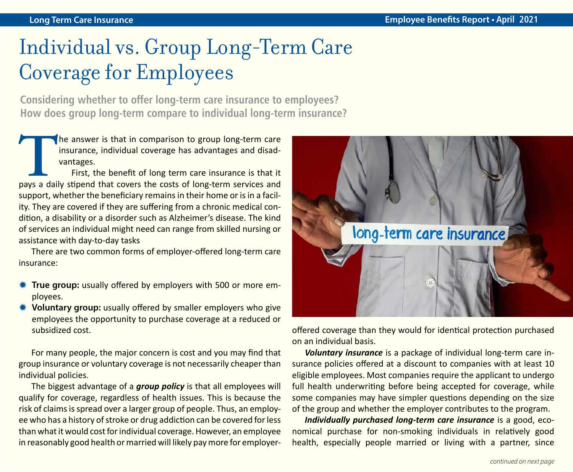## Individual vs. Group Long-Term Care Coverage for Employees

**Considering whether to offer long-term care insurance to employees? How does group long-term compare to individual long-term insurance?** 

The answer is that in comparison to group long-term care insurance, individual coverage has advantages and disadvantages.<br>First, the benefit of long term care insurance is that it pays a daily stipend that covers the costs insurance, individual coverage has advantages and disadvantages.

First, the benefit of long term care insurance is that it support, whether the beneficiary remains in their home or is in a facility. They are covered if they are suffering from a chronic medical condition, a disability or a disorder such as Alzheimer's disease. The kind of services an individual might need can range from skilled nursing or assistance with day-to-day tasks

There are two common forms of employer-offered long-term care insurance:

- **WE True group:** usually offered by employers with 500 or more employees.
- **\*\*** Voluntary group: usually offered by smaller employers who give employees the opportunity to purchase coverage at a reduced or subsidized cost.

For many people, the major concern is cost and you may find that group insurance or voluntary coverage is not necessarily cheaper than individual policies.

The biggest advantage of a *group policy* is that all employees will qualify for coverage, regardless of health issues. This is because the risk of claims is spread over a larger group of people. Thus, an employee who has a history of stroke or drug addiction can be covered for less than what it would cost for individual coverage. However, an employee in reasonably good health or married will likely pay more for employer-



offered coverage than they would for identical protection purchased on an individual basis.

*Voluntary insurance* is a package of individual long-term care insurance policies offered at a discount to companies with at least 10 eligible employees. Most companies require the applicant to undergo full health underwriting before being accepted for coverage, while some companies may have simpler questions depending on the size of the group and whether the employer contributes to the program.

*Individually purchased long-term care insurance* is a good, economical purchase for non-smoking individuals in relatively good health, especially people married or living with a partner, since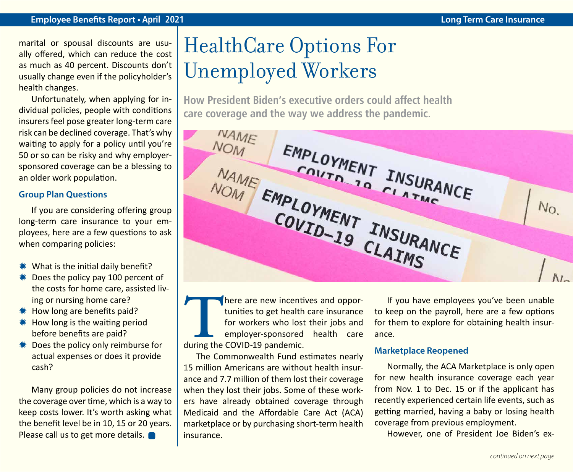#### **Employee Benefits Report • April 2021 Long Term Care Insurance**

marital or spousal discounts are usually offered, which can reduce the cost as much as 40 percent. Discounts don't usually change even if the policyholder's health changes.

Unfortunately, when applying for individual policies, people with conditions insurers feel pose greater long-term care risk can be declined coverage. That's why waiting to apply for a policy until you're 50 or so can be risky and why employersponsored coverage can be a blessing to an older work population.

#### **Group Plan Questions**

If you are considering offering group long-term care insurance to your employees, here are a few questions to ask when comparing policies:

- $*$  What is the initial daily benefit?
- $*$  Does the policy pay 100 percent of the costs for home care, assisted living or nursing home care?
- **\*\*** How long are benefits paid?
- $*$  How long is the waiting period before benefits are paid?
- **\#** Does the policy only reimburse for actual expenses or does it provide cash?

Many group policies do not increase the coverage over time, which is a way to keep costs lower. It's worth asking what the benefit level be in 10, 15 or 20 years. Please call us to get more details.

### HealthCare Options For Unemployed Workers

**How President Biden's executive orders could affect health care coverage and the way we address the pandemic.**

**NAME NOM** EMPLOYMENT INSURANCE NAME EMPLOYMENT INSURANCE COUTHENT INSURA  $N_{\rm O}$ 

There are new incentives and opportunities to get health care insurance<br>for workers who lost their jobs and<br>employer-sponsored health care<br>during the COVID-19 pandemic. tunities to get health care insurance for workers who lost their jobs and employer-sponsored health care during the COVID-19 pandemic.

The Commonwealth Fund estimates nearly 15 million Americans are without health insurance and 7.7 million of them lost their coverage when they lost their jobs. Some of these workers have already obtained coverage through Medicaid and the Affordable Care Act (ACA) marketplace or by purchasing short-term health insurance.

If you have employees you've been unable to keep on the payroll, here are a few options for them to explore for obtaining health insurance.

#### **Marketplace Reopened**

Normally, the ACA Marketplace is only open for new health insurance coverage each year from Nov. 1 to Dec. 15 or if the applicant has recently experienced certain life events, such as getting married, having a baby or losing health coverage from previous employment.

However, one of President Joe Biden's ex-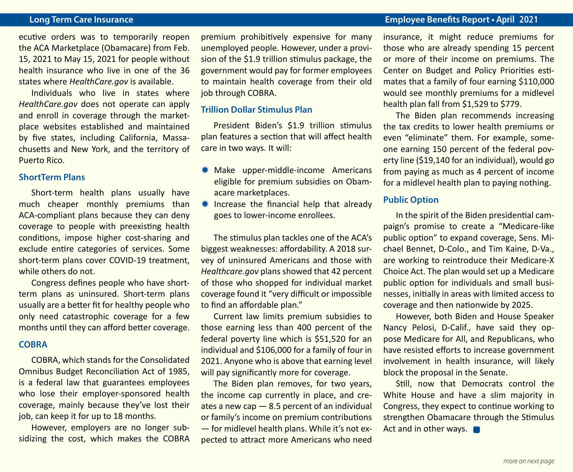**Long Term Care Insurance Employee Benefits Report • April 2021**

ecutive orders was to temporarily reopen the ACA Marketplace (Obamacare) from Feb. 15, 2021 to May 15, 2021 for people without health insurance who live in one of the 36 states where *HealthCare.gov* is available.

Individuals who live in states where *HealthCare.gov* does not operate can apply and enroll in coverage through the marketplace websites established and maintained by five states, including California, Massachusetts and New York, and the territory of Puerto Rico.

#### **ShortTerm Plans**

Short-term health plans usually have much cheaper monthly premiums than ACA-compliant plans because they can deny coverage to people with preexisting health conditions, impose higher cost-sharing and exclude entire categories of services. Some short-term plans cover COVID-19 treatment, while others do not.

Congress defines people who have shortterm plans as uninsured. Short-term plans usually are a better fit for healthy people who only need catastrophic coverage for a few months until they can afford better coverage.

#### **COBRA**

COBRA, which stands for the Consolidated Omnibus Budget Reconciliation Act of 1985, is a federal law that guarantees employees who lose their employer-sponsored health coverage, mainly because they've lost their job, can keep it for up to 18 months.

However, employers are no longer subsidizing the cost, which makes the COBRA premium prohibitively expensive for many unemployed people. However, under a provision of the \$1.9 trillion stimulus package, the government would pay for former employees to maintain health coverage from their old job through COBRA.

#### **Trillion Dollar Stimulus Plan**

President Biden's \$1.9 trillion stimulus plan features a section that will affect health care in two ways. It will:

- \* Make upper-middle-income Americans eligible for premium subsidies on Obamacare marketplaces.
- $*$  Increase the financial help that already goes to lower-income enrollees.

The stimulus plan tackles one of the ACA's biggest weaknesses: affordability. A 2018 survey of uninsured Americans and those with *Healthcare.gov* plans showed that 42 percent of those who shopped for individual market coverage found it "very difficult or impossible to find an affordable plan."

Current law limits premium subsidies to those earning less than 400 percent of the federal poverty line which is \$51,520 for an individual and \$106,000 for a family of four in 2021. Anyone who is above that earning level will pay significantly more for coverage.

The Biden plan removes, for two years, the income cap currently in place, and creates a new cap  $-8.5$  percent of an individual or family's income on premium contributions — for midlevel health plans. While it's not expected to attract more Americans who need insurance, it might reduce premiums for those who are already spending 15 percent or more of their income on premiums. The Center on Budget and Policy Priorities estimates that a family of four earning \$110,000 would see monthly premiums for a midlevel health plan fall from \$1,529 to \$779.

The Biden plan recommends increasing the tax credits to lower health premiums or even "eliminate" them. For example, someone earning 150 percent of the federal poverty line (\$19,140 for an individual), would go from paying as much as 4 percent of income for a midlevel health plan to paying nothing.

#### **Public Option**

In the spirit of the Biden presidential campaign's promise to create a "Medicare-like public option" to expand coverage, Sens. Michael Bennet, D-Colo., and Tim Kaine, D-Va., are working to reintroduce their Medicare-X Choice Act. The plan would set up a Medicare public option for individuals and small businesses, initially in areas with limited access to coverage and then nationwide by 2025.

However, both Biden and House Speaker Nancy Pelosi, D-Calif., have said they oppose Medicare for All, and Republicans, who have resisted efforts to increase government involvement in health insurance, will likely block the proposal in the Senate.

Still, now that Democrats control the White House and have a slim majority in Congress, they expect to continue working to strengthen Obamacare through the Stimulus Act and in other ways.